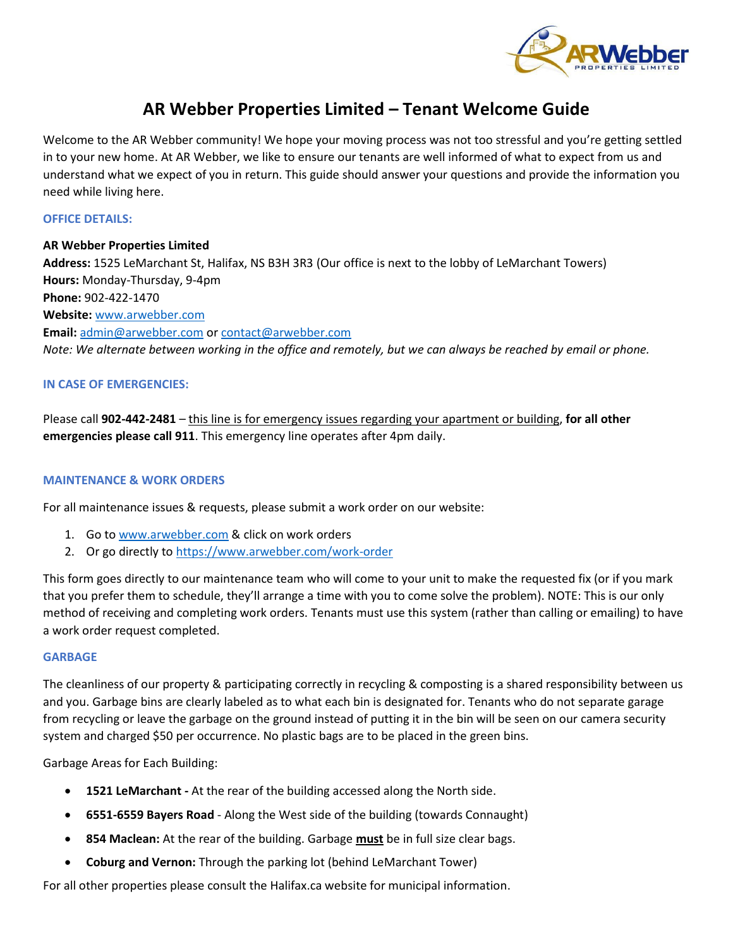

# **AR Webber Properties Limited – Tenant Welcome Guide**

Welcome to the AR Webber community! We hope your moving process was not too stressful and you're getting settled in to your new home. At AR Webber, we like to ensure our tenants are well informed of what to expect from us and understand what we expect of you in return. This guide should answer your questions and provide the information you need while living here.

## **OFFICE DETAILS:**

**AR Webber Properties Limited Address:** 1525 LeMarchant St, Halifax, NS B3H 3R3 (Our office is next to the lobby of LeMarchant Towers) **Hours:** Monday-Thursday, 9-4pm **Phone:** 902-422-1470 **Website:** [www.arwebber.com](http://www.arwebber.com/) **Email:** [admin@arwebber.com](mailto:admin@arwebber.com) o[r contact@arwebber.com](mailto:contact@arwebber.com) *Note: We alternate between working in the office and remotely, but we can always be reached by email or phone.* 

# **IN CASE OF EMERGENCIES:**

Please call **902-442-2481** – this line is for emergency issues regarding your apartment or building, **for all other emergencies please call 911**. This emergency line operates after 4pm daily.

## **MAINTENANCE & WORK ORDERS**

For all maintenance issues & requests, please submit a work order on our website:

- 1. Go to [www.arwebber.com](http://www.arwebber.com/) & click on work orders
- 2. Or go directly to <https://www.arwebber.com/work-order>

This form goes directly to our maintenance team who will come to your unit to make the requested fix (or if you mark that you prefer them to schedule, they'll arrange a time with you to come solve the problem). NOTE: This is our only method of receiving and completing work orders. Tenants must use this system (rather than calling or emailing) to have a work order request completed.

## **GARBAGE**

The cleanliness of our property & participating correctly in recycling & composting is a shared responsibility between us and you. Garbage bins are clearly labeled as to what each bin is designated for. Tenants who do not separate garage from recycling or leave the garbage on the ground instead of putting it in the bin will be seen on our camera security system and charged \$50 per occurrence. No plastic bags are to be placed in the green bins.

Garbage Areas for Each Building:

- **1521 LeMarchant -** At the rear of the building accessed along the North side.
- **6551-6559 Bayers Road** Along the West side of the building (towards Connaught)
- **854 Maclean:** At the rear of the building. Garbage **must** be in full size clear bags.
- **Coburg and Vernon:** Through the parking lot (behind LeMarchant Tower)

For all other properties please consult the Halifax.ca website for municipal information.